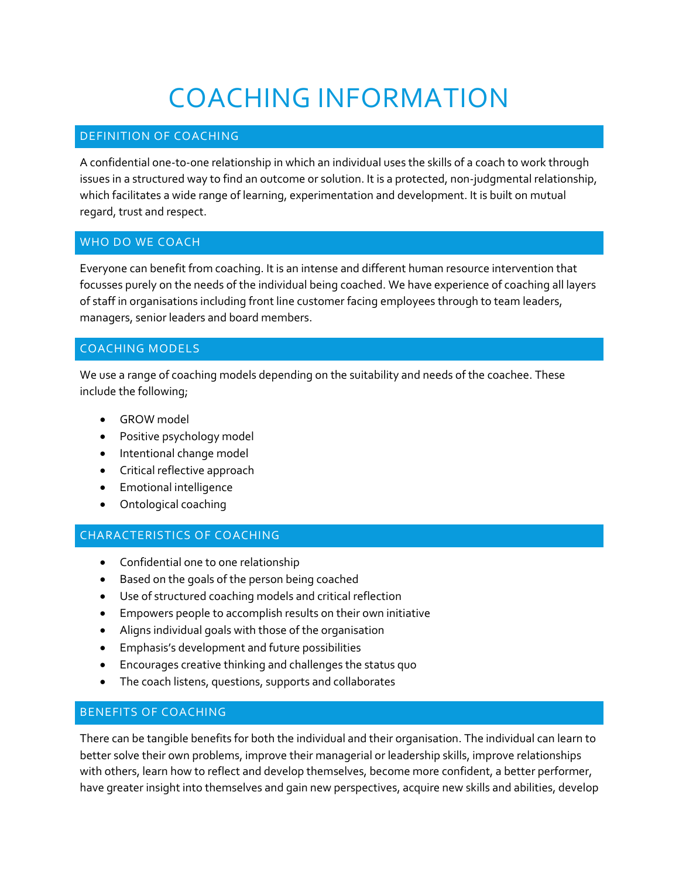# COACHING INFORMATION

# DEFINITION OF COACHING

A confidential one-to-one relationship in which an individual uses the skills of a coach to work through issues in a structured way to find an outcome or solution. It is a protected, non-judgmental relationship, which facilitates a wide range of learning, experimentation and development. It is built on mutual regard, trust and respect.

#### WHO DO WE COACH

Everyone can benefit from coaching. It is an intense and different human resource intervention that focusses purely on the needs of the individual being coached. We have experience of coaching all layers of staff in organisations including front line customer facing employees through to team leaders, managers, senior leaders and board members.

## COACHING MODELS

We use a range of coaching models depending on the suitability and needs of the coachee. These include the following;

- GROW model
- Positive psychology model
- Intentional change model
- Critical reflective approach
- Emotional intelligence
- Ontological coaching

## CHARACTERISTICS OF COACHING

- Confidential one to one relationship
- Based on the goals of the person being coached
- Use of structured coaching models and critical reflection
- Empowers people to accomplish results on their own initiative
- Aligns individual goals with those of the organisation
- Emphasis's development and future possibilities
- Encourages creative thinking and challenges the status quo
- The coach listens, questions, supports and collaborates

#### BENEFITS OF COACHING

There can be tangible benefits for both the individual and their organisation. The individual can learn to better solve their own problems, improve their managerial or leadership skills, improve relationships with others, learn how to reflect and develop themselves, become more confident, a better performer, have greater insight into themselves and gain new perspectives, acquire new skills and abilities, develop